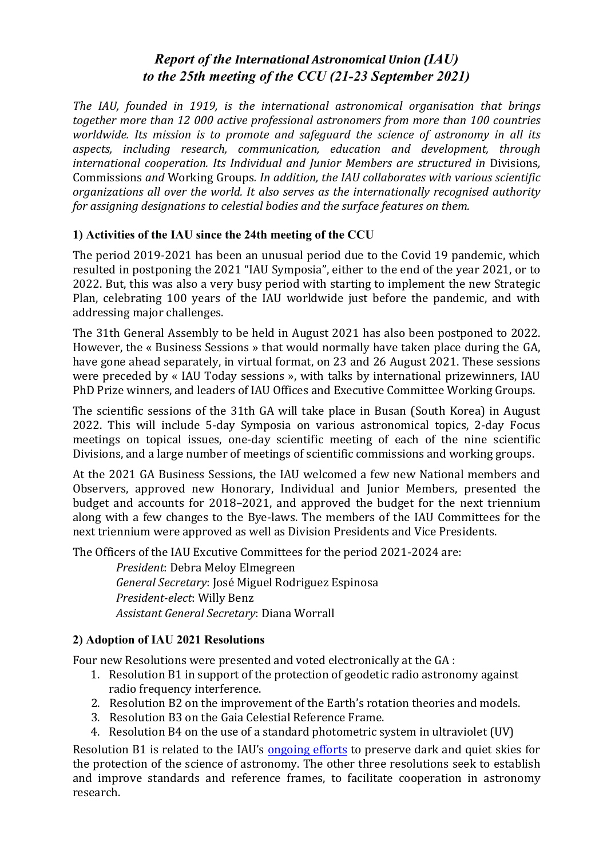# *Report of the International Astronomical Union (IAU) to the 25th meeting of the CCU (21-23 September 2021)*

*The IAU, founded in 1919, is the international astronomical organisation that brings together more than 12 000 active professional astronomers from more than 100 countries worldwide.* Its mission is to promote and safeguard the science of astronomy in all its aspects, *including research, communication, education and development, through international cooperation. Its Individual and Junior Members are structured in Divisions,* Commissions *and* Working Groups. In addition, the IAU collaborates with various scientific *organizations all over the world. It also serves as the internationally recognised authority for assigning designations to celestial bodies and the surface features on them.* 

## **1) Activities of the IAU since the 24th meeting of the CCU**

The period 2019-2021 has been an unusual period due to the Covid 19 pandemic, which resulted in postponing the 2021 "IAU Symposia", either to the end of the year 2021, or to 2022. But, this was also a very busy period with starting to implement the new Strategic Plan, celebrating 100 years of the IAU worldwide just before the pandemic, and with addressing major challenges.

The 31th General Assembly to be held in August 2021 has also been postponed to 2022. However, the « Business Sessions » that would normally have taken place during the GA, have gone ahead separately, in virtual format, on 23 and 26 August 2021. These sessions were preceded by « IAU Today sessions », with talks by international prizewinners, IAU PhD Prize winners, and leaders of IAU Offices and Executive Committee Working Groups.

The scientific sessions of the 31th GA will take place in Busan (South Korea) in August 2022. This will include 5-day Symposia on various astronomical topics, 2-day Focus meetings on topical issues, one-day scientific meeting of each of the nine scientific Divisions, and a large number of meetings of scientific commissions and working groups.

At the 2021 GA Business Sessions, the IAU welcomed a few new National members and Observers, approved new Honorary, Individual and Junior Members, presented the budget and accounts for 2018–2021, and approved the budget for the next triennium along with a few changes to the Bye-laws. The members of the IAU Committees for the next triennium were approved as well as Division Presidents and Vice Presidents.

The Officers of the IAU Excutive Committees for the period 2021-2024 are:

*President*: Debra Meloy Elmegreen *General Secretary*: José Miguel Rodriguez Espinosa *President-elect:* Willy Benz *Assistant General Secretary*: Diana Worrall

### **2) Adoption of IAU 2021 Resolutions**

Four new Resolutions were presented and voted electronically at the GA :

- 1. Resolution B1 in support of the protection of geodetic radio astronomy against radio frequency interference.
- 2. Resolution B2 on the improvement of the Earth's rotation theories and models.
- 3. Resolution B3 on the Gaia Celestial Reference Frame.
- 4. Resolution  $B4$  on the use of a standard photometric system in ultraviolet  $(UV)$

Resolution B1 is related to the IAU's ongoing efforts to preserve dark and quiet skies for the protection of the science of astronomy. The other three resolutions seek to establish and improve standards and reference frames, to facilitate cooperation in astronomy research.